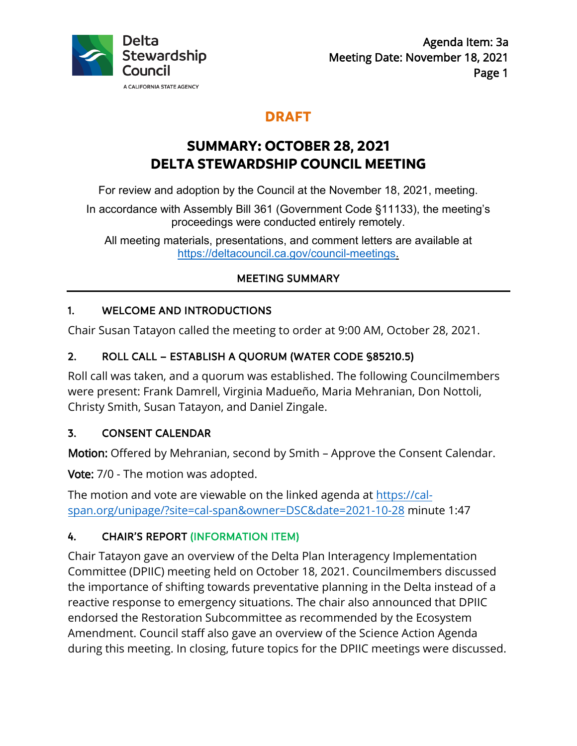

## **DRAFT**

# **SUMMARY: OCTOBER 28, 2021 DELTA STEWARDSHIP COUNCIL MEETING**

For review and adoption by the Council at the November 18, 2021, meeting.

In accordance with Assembly Bill 361 (Government Code §11133), the meeting's proceedings were conducted entirely remotely.

All meeting materials, presentations, and comment letters are available at <https://deltacouncil.ca.gov/council-meetings>.

## MEETING SUMMARY

## 1. WELCOME AND INTRODUCTIONS

Chair Susan Tatayon called the meeting to order at 9:00 AM, October 28, 2021.

### 2. ROLL CALL – ESTABLISH A QUORUM (WATER CODE §85210.5)

 Christy Smith, Susan Tatayon, and Daniel Zingale. Roll call was taken, and a quorum was established. The following Councilmembers were present: Frank Damrell, Virginia Madueño, Maria Mehranian, Don Nottoli,

#### 3. CONSENT CALENDAR

Motion: Offered by Mehranian, second by Smith – Approve the Consent Calendar.

**Vote:** 7/0 - The motion was adopted.

The motion and vote are viewable on the linked agenda at <u>https://cal-</u> span.org/unipage/?site=cal-span&owner=DSC&date=2021-10-28 minute 1:47

## 4. CHAIR'S REPORT (INFORMATION ITEM)

 Committee (DPIIC) meeting held on October 18, 2021. Councilmembers discussed the importance of shifting towards preventative planning in the Delta instead of a Chair Tatayon gave an overview of the Delta Plan Interagency Implementation reactive response to emergency situations. The chair also announced that DPIIC endorsed the Restoration Subcommittee as recommended by the Ecosystem Amendment. Council staff also gave an overview of the Science Action Agenda during this meeting. In closing, future topics for the DPIIC meetings were discussed.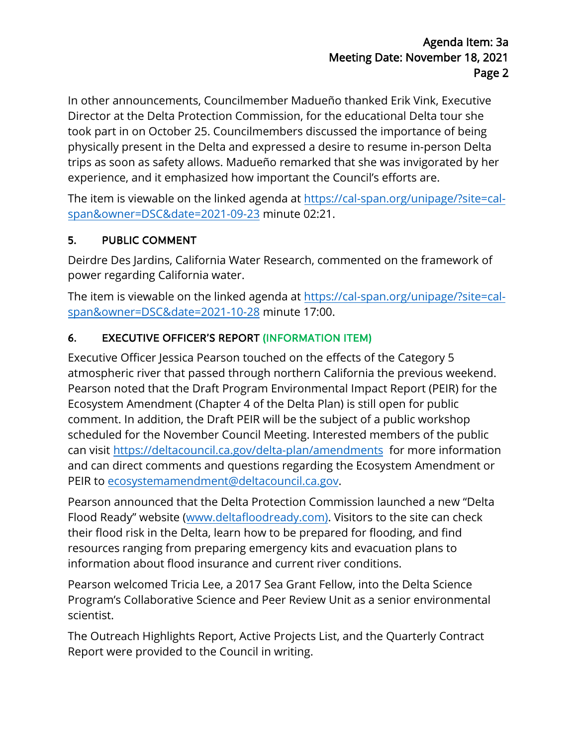Director at the Delta Protection Commission, for the educational Delta tour she In other announcements, Councilmember Madueño thanked Erik Vink, Executive took part in on October 25. Councilmembers discussed the importance of being physically present in the Delta and expressed a desire to resume in-person Delta trips as soon as safety allows. Madueño remarked that she was invigorated by her experience, and it emphasized how important the Council's efforts are.

The item is viewable on the linked agenda at <u>https://cal-span.org/unipage/?site=cal-</u> span&owner=DSC&date=2021-09-23 minute 02:21.

## 5. PUBLIC COMMENT

 Deirdre Des Jardins, California Water Research, commented on the framework of power regarding California water.

The item is viewable on the linked agenda at <https://cal-span.org/unipage/?site=cal>span&owner=DSC&date=2021-10-28 minute 17:00.

## 6. EXECUTIVE OFFICER'S REPORT (INFORMATION ITEM)

 Pearson noted that the Draft Program Environmental Impact Report (PEIR) for the Ecosystem Amendment (Chapter 4 of the Delta Plan) is still open for public scheduled for the November Council Meeting. Interested members of the public Executive Officer Jessica Pearson touched on the effects of the Category 5 atmospheric river that passed through northern California the previous weekend. comment. In addition, the Draft PEIR will be the subject of a public workshop can visit<https://deltacouncil.ca.gov/delta-plan/amendments> for more information and can direct comments and questions regarding the Ecosystem Amendment or PEIR to [ecosystemamendment@deltacouncil.ca.gov](mailto:ecosystemamendment@deltacouncil.ca.gov).

 Pearson announced that the Delta Protection Commission launched a new "Delta their flood risk in the Delta, learn how to be prepared for flooding, and find Flood Ready" website ([www.deltafloodready.com\)](www.deltafloodready.com). Visitors to the site can check resources ranging from preparing emergency kits and evacuation plans to information about flood insurance and current river conditions.

Pearson welcomed Tricia Lee, a 2017 Sea Grant Fellow, into the Delta Science Program's Collaborative Science and Peer Review Unit as a senior environmental scientist.

The Outreach Highlights Report, Active Projects List, and the Quarterly Contract Report were provided to the Council in writing.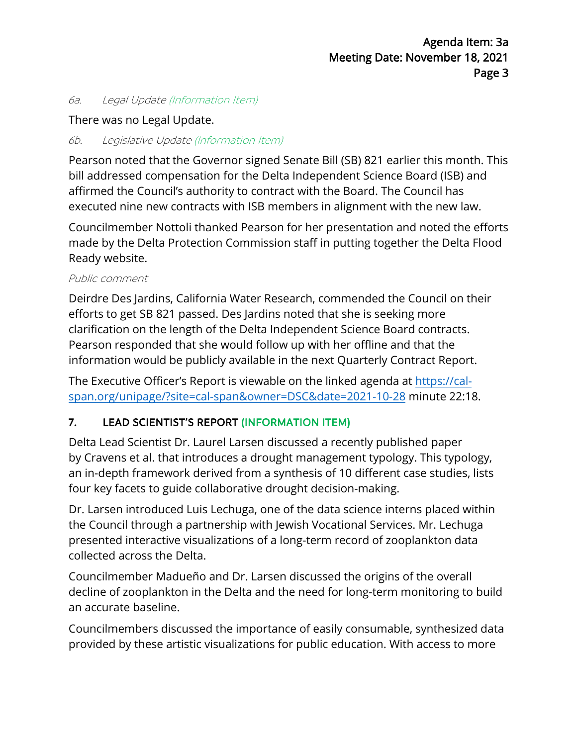#### 6a. Legal Update (Information Item)

#### There was no Legal Update.

#### 6b. Legislative Update (Information Item)

 affirmed the Council's authority to contract with the Board. The Council has Pearson noted that the Governor signed Senate Bill (SB) 821 earlier this month. This bill addressed compensation for the Delta Independent Science Board (ISB) and executed nine new contracts with ISB members in alignment with the new law.

 Councilmember Nottoli thanked Pearson for her presentation and noted the efforts made by the Delta Protection Commission staff in putting together the Delta Flood Ready website.

#### Public comment

 information would be publicly available in the next Quarterly Contract Report. Deirdre Des Jardins, California Water Research, commended the Council on their efforts to get SB 821 passed. Des Jardins noted that she is seeking more clarification on the length of the Delta Independent Science Board contracts. Pearson responded that she would follow up with her offline and that the

The Executive Officer's Report is viewable on the linked agenda at <https://cal>span.org/unipage/?site=cal-span&owner=DSC&date=2021-10-28 minute 22:18.

## 7. LEAD SCIENTIST'S REPORT (INFORMATION ITEM)

 Delta Lead Scientist Dr. Laurel Larsen discussed a recently published paper by Cravens et al. that introduces a drought management typology. This typology, four key facets to guide collaborative drought decision-making. an in-depth framework derived from a synthesis of 10 different case studies, lists

 Dr. Larsen introduced Luis Lechuga, one of the data science interns placed within the Council through a partnership with Jewish Vocational Services. Mr. Lechuga presented interactive visualizations of a long-term record of zooplankton data collected across the Delta.

Councilmember Madueño and Dr. Larsen discussed the origins of the overall decline of zooplankton in the Delta and the need for long-term monitoring to build an accurate baseline.

 provided by these artistic visualizations for public education. With access to more Councilmembers discussed the importance of easily consumable, synthesized data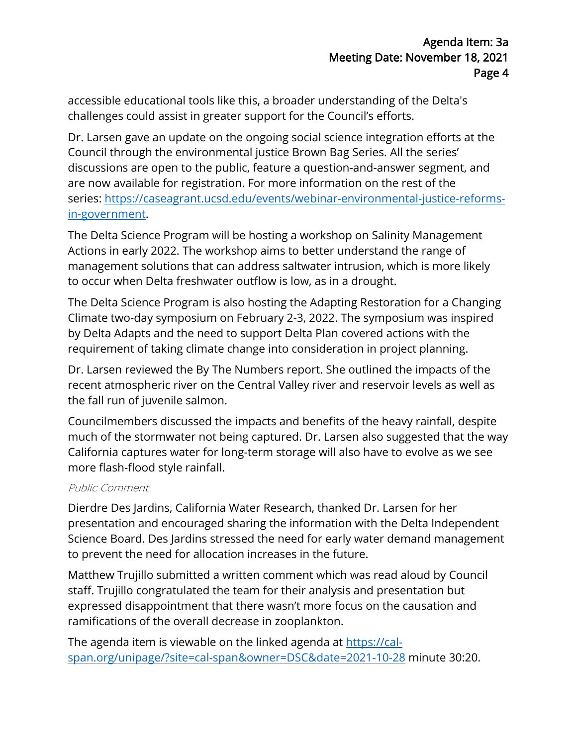accessible educational tools like this, a broader understanding of the Delta's challenges could assist in greater support for the Council's efforts.

 Council through the environmental justice Brown Bag Series. All the series' are now available for registration. For more information on the rest of the in-government. Dr. Larsen gave an update on the ongoing social science integration efforts at the discussions are open to the public, feature a question-and-answer segment, and series:<https://caseagrant.ucsd.edu/events/webinar-environmental-justice-reforms>-

 Actions in early 2022. The workshop aims to better understand the range of to occur when Delta freshwater outflow is low, as in a drought. The Delta Science Program will be hosting a workshop on Salinity Management management solutions that can address saltwater intrusion, which is more likely

 by Delta Adapts and the need to support Delta Plan covered actions with the The Delta Science Program is also hosting the Adapting Restoration for a Changing Climate two-day symposium on February 2-3, 2022. The symposium was inspired requirement of taking climate change into consideration in project planning.

 Dr. Larsen reviewed the By The Numbers report. She outlined the impacts of the the fall run of juvenile salmon. recent atmospheric river on the Central Valley river and reservoir levels as well as

 Councilmembers discussed the impacts and benefits of the heavy rainfall, despite much of the stormwater not being captured. Dr. Larsen also suggested that the way California captures water for long-term storage will also have to evolve as we see more flash-flood style rainfall.

#### Public Comment

Dierdre Des Jardins, California Water Research, thanked Dr. Larsen for her presentation and encouraged sharing the information with the Delta Independent Science Board. Des Jardins stressed the need for early water demand management to prevent the need for allocation increases in the future.

ramifications of the overall decrease in zooplankton. Matthew Trujillo submitted a written comment which was read aloud by Council staff. Trujillo congratulated the team for their analysis and presentation but expressed disappointment that there wasn't more focus on the causation and

ramifications of the overall decrease in zooplankton.<br>The agenda item is viewable on the linked agenda at <u>https://cal-</u> span.org/unipage/?site=cal-span&owner=DSC&date=2021-10-28 minute 30:20.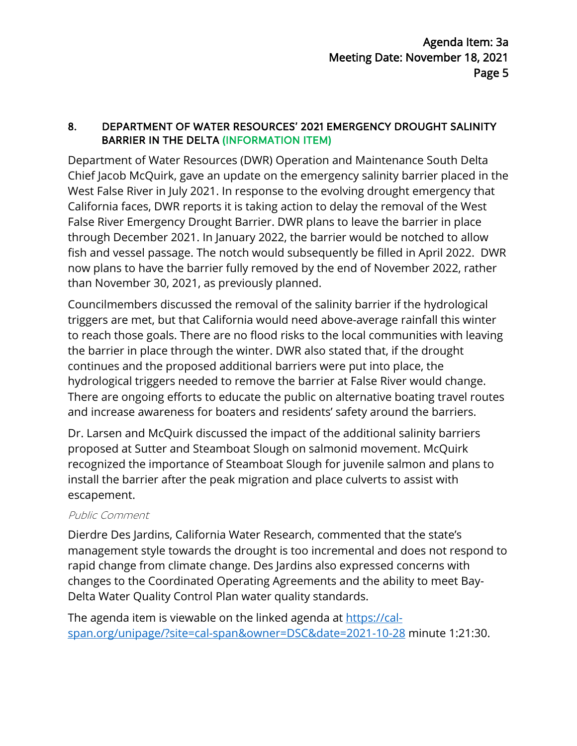#### 8. DEPARTMENT OF WATER RESOURCES' 2021 EMERGENCY DROUGHT SALINITY BARRIER IN THE DELTA (INFORMATION ITEM)

 West False River in July 2021. In response to the evolving drought emergency that California faces, DWR reports it is taking action to delay the removal of the West False River Emergency Drought Barrier. DWR plans to leave the barrier in place fish and vessel passage. The notch would subsequently be filled in April 2022. DWR Department of Water Resources (DWR) Operation and Maintenance South Delta Chief Jacob McQuirk, gave an update on the emergency salinity barrier placed in the through December 2021. In January 2022, the barrier would be notched to allow now plans to have the barrier fully removed by the end of November 2022, rather than November 30, 2021, as previously planned.

 triggers are met, but that California would need above-average rainfall this winter and increase awareness for boaters and residents' safety around the barriers. Councilmembers discussed the removal of the salinity barrier if the hydrological to reach those goals. There are no flood risks to the local communities with leaving the barrier in place through the winter. DWR also stated that, if the drought continues and the proposed additional barriers were put into place, the hydrological triggers needed to remove the barrier at False River would change. There are ongoing efforts to educate the public on alternative boating travel routes

 proposed at Sutter and Steamboat Slough on salmonid movement. McQuirk install the barrier after the peak migration and place culverts to assist with Dr. Larsen and McQuirk discussed the impact of the additional salinity barriers. recognized the importance of Steamboat Slough for juvenile salmon and plans to escapement.

#### Public Comment

Dierdre Des Jardins, California Water Research, commented that the state's management style towards the drought is too incremental and does not respond to rapid change from climate change. Des Jardins also expressed concerns with changes to the Coordinated Operating Agreements and the ability to meet Bay-Delta Water Quality Control Plan water quality standards.

The agenda item is viewable on the linked agenda at <u>https://cal-</u> span.org/unipage/?site=cal-span&owner=DSC&date=2021-10-28 minute 1:21:30.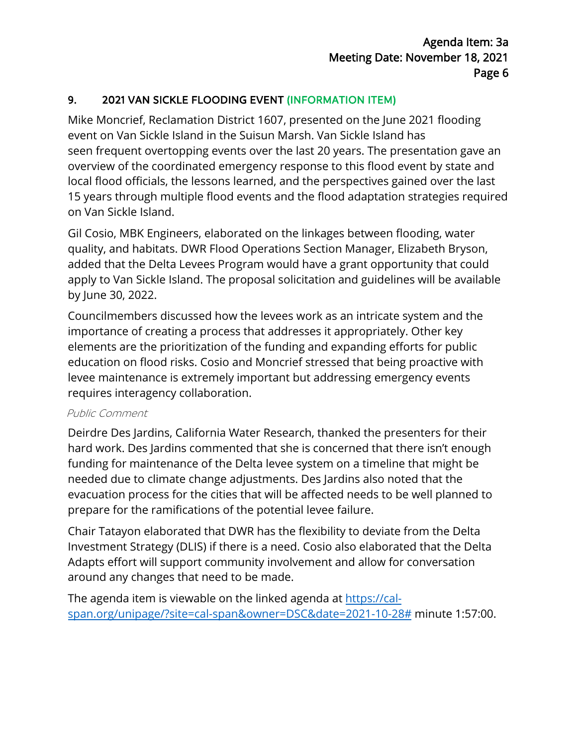### 9. 2021 VAN SICKLE FLOODING EVENT (INFORMATION ITEM)

 Mike Moncrief, Reclamation District 1607, presented on the June 2021 flooding event on Van Sickle Island in the Suisun Marsh. Van Sickle Island has seen frequent overtopping events over the last 20 years. The presentation gave an overview of the coordinated emergency response to this flood event by state and local flood officials, the lessons learned, and the perspectives gained over the last 15 years through multiple flood events and the flood adaptation strategies required on Van Sickle Island.

 quality, and habitats. DWR Flood Operations Section Manager, Elizabeth Bryson, added that the Delta Levees Program would have a grant opportunity that could Gil Cosio, MBK Engineers, elaborated on the linkages between flooding, water apply to Van Sickle Island. The proposal solicitation and guidelines will be available by June 30, 2022.

 elements are the prioritization of the funding and expanding efforts for public requires interagency collaboration. Councilmembers discussed how the levees work as an intricate system and the importance of creating a process that addresses it appropriately. Other key education on flood risks. Cosio and Moncrief stressed that being proactive with levee maintenance is extremely important but addressing emergency events

#### Public Comment

 Deirdre Des Jardins, California Water Research, thanked the presenters for their hard work. Des Jardins commented that she is concerned that there isn't enough funding for maintenance of the Delta levee system on a timeline that might be needed due to climate change adjustments. Des Jardins also noted that the evacuation process for the cities that will be affected needs to be well planned to prepare for the ramifications of the potential levee failure.

 around any changes that need to be made. Chair Tatayon elaborated that DWR has the flexibility to deviate from the Delta Investment Strategy (DLIS) if there is a need. Cosio also elaborated that the Delta Adapts effort will support community involvement and allow for conversation

The agenda item is viewable on the linked agenda at <u>https://cal-</u> [span.org/unipage/?site=cal-span&owner=DSC&date=2021-10-28#](https://cal-span.org/unipage/?site=cal-span&owner=DSC&date=2021-10-28) minute 1:57:00.